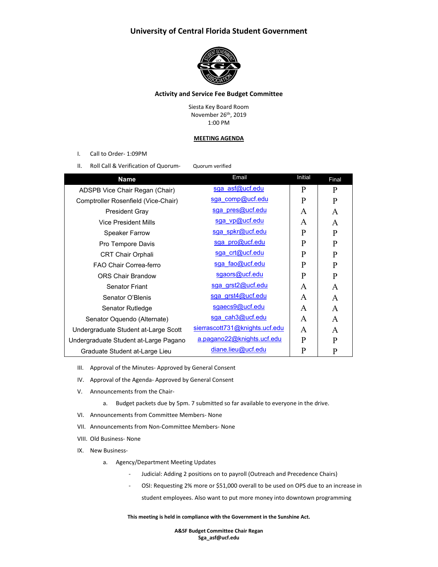## **University of Central Florida Student Government**



## **Activity and Service Fee Budget Committee**

Siesta Key Board Room November 26th, 2019 1:00 PM

#### **MEETING AGENDA**

- I. Call to Order- 1:09PM
- II. Roll Call & Verification of Quorum- Quorum verified

| <b>Name</b>                           | Email                          | Initial      | Final |
|---------------------------------------|--------------------------------|--------------|-------|
| ADSPB Vice Chair Regan (Chair)        | sga asf@ucf.edu                | P            | P     |
| Comptroller Rosenfield (Vice-Chair)   | sga comp@ucf.edu               | P            | P     |
| <b>President Gray</b>                 | sga pres@ucf.edu               | A            | A     |
| Vice President Mills                  | sga vp@ucf.edu                 | A            | A     |
| <b>Speaker Farrow</b>                 | sga spkr@ucf.edu               | $\mathbf{P}$ | P     |
| Pro Tempore Davis                     | sga pro@ucf.edu                | P            | P     |
| <b>CRT Chair Orphali</b>              | sga crt@ucf.edu                | P            | P     |
| FAO Chair Correa-ferro                | sga fao@ucf.edu                | P            | P     |
| <b>ORS Chair Brandow</b>              | sgaors@ucf.edu                 | $\mathbf{P}$ | P     |
| <b>Senator Friant</b>                 | sga grst2@ucf.edu              | A            | A     |
| Senator O'Blenis                      | sga grst4@ucf.edu              | A            | A     |
| Senator Rutledge                      | sgaecs9@ucf.edu                | A            | A     |
| Senator Oquendo (Alternate)           | sga cah3@ucf.edu               | A            | A     |
| Undergraduate Student at-Large Scott  | sierrascott731@knights.ucf.edu | A            | A     |
| Undergraduate Student at-Large Pagano | a.pagano22@knights.ucf.edu     | $\mathbf{P}$ | P     |
| Graduate Student at-Large Lieu        | diane.lieu@ucf.edu             | P            | P     |

- III. Approval of the Minutes- Approved by General Consent
- IV. Approval of the Agenda- Approved by General Consent
- V. Announcements from the Chair
	- a. Budget packets due by 5pm. 7 submitted so far available to everyone in the drive.
- VI. Announcements from Committee Members- None
- VII. Announcements from Non-Committee Members- None
- VIII. Old Business- None
- IX. New Business
	- a. Agency/Department Meeting Updates
		- Judicial: Adding 2 positions on to payroll (Outreach and Precedence Chairs)
		- OSI: Requesting 2% more or \$51,000 overall to be used on OPS due to an increase in student employees. Also want to put more money into downtown programming

**This meeting is held in compliance with the Government in the Sunshine Act.**

**A&SF Budget Committee Chair Regan Sga\_asf@ucf.edu**